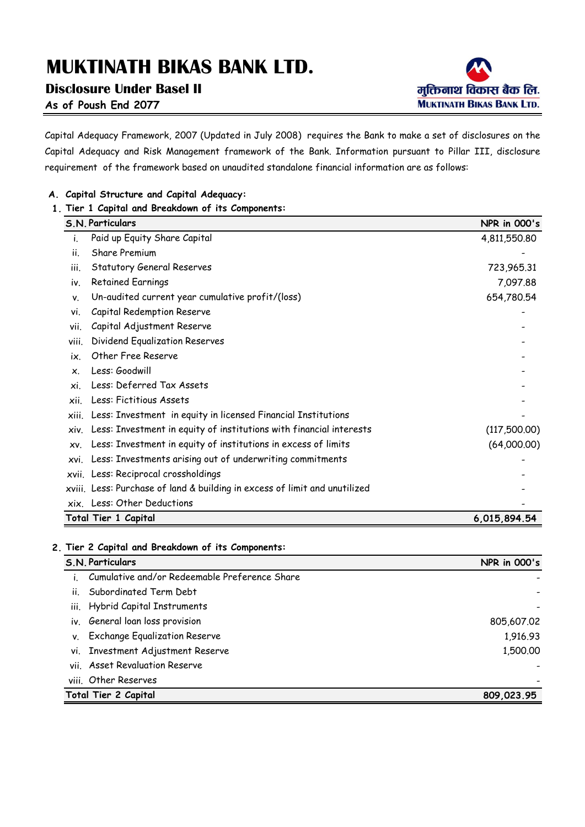**Disclosure Under Basel II**



**As of Poush End 2077**

Capital Adequacy Framework, 2007 (Updated in July 2008) requires the Bank to make a set of disclosures on the Capital Adequacy and Risk Management framework of the Bank. Information pursuant to Pillar III, disclosure requirement of the framework based on unaudited standalone financial information are as follows:

### **A. Capital Structure and Capital Adequacy:**

### **1. Tier 1 Capital and Breakdown of its Components:**

| S.N. Particulars                                                            | <b>NPR</b> in 000's |
|-----------------------------------------------------------------------------|---------------------|
| Paid up Equity Share Capital<br>Ť.                                          | 4,811,550.80        |
| Share Premium<br>ii.                                                        |                     |
| <b>Statutory General Reserves</b><br>iii.                                   | 723,965.31          |
| <b>Retained Earnings</b><br>iv.                                             | 7,097.88            |
| Un-audited current year cumulative profit/(loss)<br>٧.                      | 654,780.54          |
| Capital Redemption Reserve<br>vi.                                           |                     |
| Capital Adjustment Reserve<br>vii.                                          |                     |
| Dividend Equalization Reserves<br>viii.                                     |                     |
| Other Free Reserve<br>ix.                                                   |                     |
| Less: Goodwill<br>X.                                                        |                     |
| Less: Deferred Tax Assets<br>хi.                                            |                     |
| Less: Fictitious Assets<br>xii.                                             |                     |
| xiii. Less: Investment in equity in licensed Financial Institutions         |                     |
| Less: Investment in equity of institutions with financial interests<br>xiv. | (117,500.00)        |
| Less: Investment in equity of institutions in excess of limits<br>XV.       | (64,000.00)         |
| Less: Investments arising out of underwriting commitments<br>XVI.           |                     |
| xvii. Less: Reciprocal crossholdings                                        |                     |
| xviii. Less: Purchase of land & building in excess of limit and unutilized  |                     |
| xix. Less: Other Deductions                                                 |                     |
| Total Tier 1 Capital                                                        | 6,015,894.54        |

### **2. Tier 2 Capital and Breakdown of its Components:**

|    | S.N. Particulars                                 | <b>NPR</b> in 000's |
|----|--------------------------------------------------|---------------------|
|    | i. Cumulative and/or Redeemable Preference Share |                     |
|    | ii. Subordinated Term Debt                       |                     |
|    | iii. Hybrid Capital Instruments                  |                     |
|    | iv. General loan loss provision                  | 805,607.02          |
| V. | <b>Exchange Equalization Reserve</b>             | 1,916.93            |
|    | vi. Investment Adjustment Reserve                | 1,500.00            |
|    | vii. Asset Revaluation Reserve                   |                     |
|    | viii. Other Reserves                             |                     |
|    | Total Tier 2 Capital                             | 809,023.95          |
|    |                                                  |                     |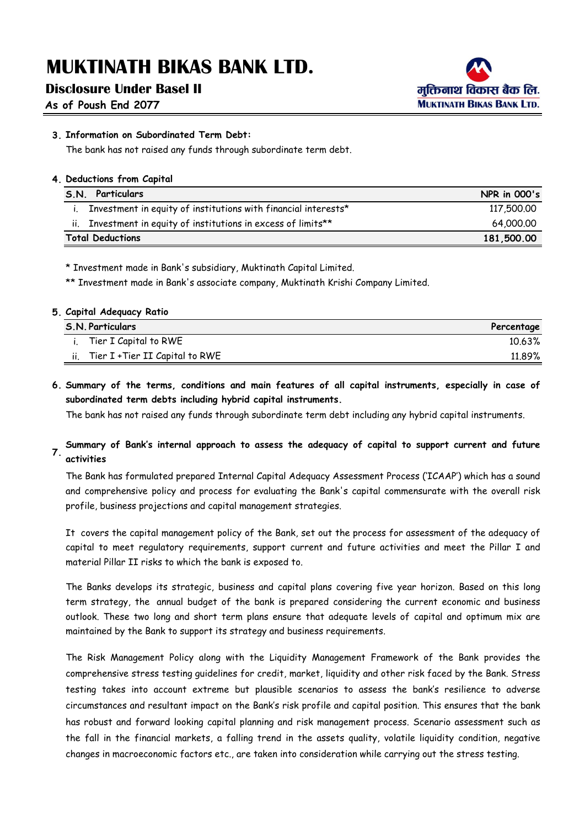### **Disclosure Under Basel II**

**As of Poush End 2077**



### **3. Information on Subordinated Term Debt:**

The bank has not raised any funds through subordinate term debt.

### **4. Deductions from Capital**

| Particulars<br>S.N.                                                           | <b>NPR in 000's</b> |
|-------------------------------------------------------------------------------|---------------------|
| Investment in equity of institutions with financial interests*                | 117,500,00          |
| Investment in equity of institutions in excess of limits <sup>**</sup><br>Ιİ. | 64.000.00           |
| <b>Total Deductions</b>                                                       | 181,500.00          |

\* Investment made in Bank's subsidiary, Muktinath Capital Limited.

\*\* Investment made in Bank's associate company, Muktinath Krishi Company Limited.

#### **5. Capital Adequacy Ratio**

| S.N. Particulars                     | Percentage |
|--------------------------------------|------------|
| Tier I Capital to RWE                | 10.63%     |
| ii. Tier $I$ +Tier II Capital to RWE | 11.89%     |

### **6. Summary of the terms, conditions and main features of all capital instruments, especially in case of subordinated term debts including hybrid capital instruments.**

The bank has not raised any funds through subordinate term debt including any hybrid capital instruments.

#### **7. Summary of Bank's internal approach to assess the adequacy of capital to support current and future activities**

The Bank has formulated prepared Internal Capital Adequacy Assessment Process ('ICAAP') which has a sound and comprehensive policy and process for evaluating the Bank's capital commensurate with the overall risk profile, business projections and capital management strategies.

It covers the capital management policy of the Bank, set out the process for assessment of the adequacy of capital to meet regulatory requirements, support current and future activities and meet the Pillar I and material Pillar II risks to which the bank is exposed to.

The Banks develops its strategic, business and capital plans covering five year horizon. Based on this long term strategy, the annual budget of the bank is prepared considering the current economic and business outlook. These two long and short term plans ensure that adequate levels of capital and optimum mix are maintained by the Bank to support its strategy and business requirements.

The Risk Management Policy along with the Liquidity Management Framework of the Bank provides the comprehensive stress testing guidelines for credit, market, liquidity and other risk faced by the Bank. Stress testing takes into account extreme but plausible scenarios to assess the bank's resilience to adverse circumstances and resultant impact on the Bank's risk profile and capital position. This ensures that the bank has robust and forward looking capital planning and risk management process. Scenario assessment such as the fall in the financial markets, a falling trend in the assets quality, volatile liquidity condition, negative changes in macroeconomic factors etc., are taken into consideration while carrying out the stress testing.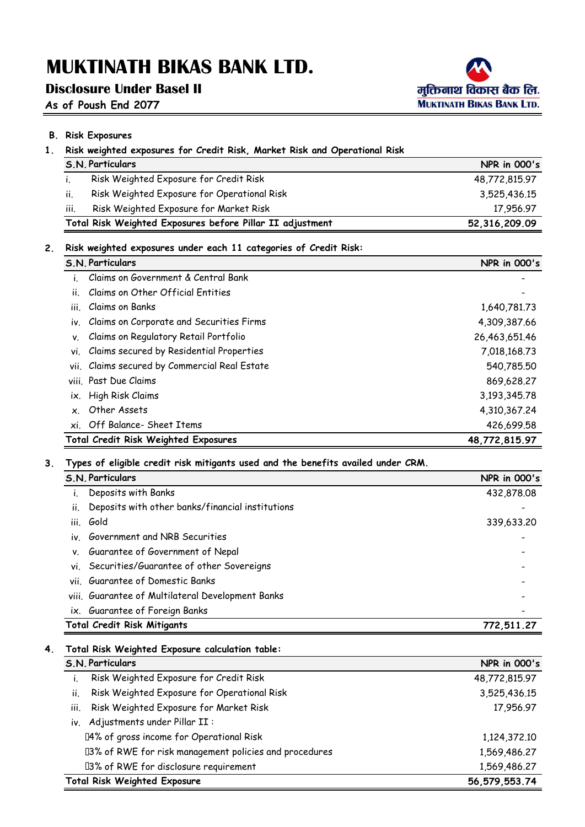## **Disclosure Under Basel II**

**As of Poush End 2077**



## **B. Risk Exposures**

| 1. | Risk weighted exposures for Credit Risk, Market Risk and Operational Risk |                     |
|----|---------------------------------------------------------------------------|---------------------|
|    | S.N. Particulars                                                          | <b>NPR in 000's</b> |
|    | Risk Weighted Exposure for Credit Risk                                    | 48.772.815.97       |

|     | Total Risk Weighted Exposures before Pillar II adjustment | 52,316,209.09 |
|-----|-----------------------------------------------------------|---------------|
| TH. | Risk Weighted Exposure for Market Risk                    | 17.956.97     |
|     | Risk Weighted Exposure for Operational Risk               | 3.525.436.15  |

**Total Risk Weighted Exposures before Pillar II adjustment**

### **2. Risk weighted exposures under each 11 categories of Credit Risk:**

|                | S.N. Particulars                              | <b>NPR</b> in 000's |
|----------------|-----------------------------------------------|---------------------|
|                | Claims on Government & Central Bank           |                     |
| ii.            | Claims on Other Official Entities             |                     |
| iii.           | Claims on Banks                               | 1,640,781.73        |
|                | iv. Claims on Corporate and Securities Firms  | 4,309,387.66        |
| ٧.             | Claims on Regulatory Retail Portfolio         | 26,463,651.46       |
|                | vi. Claims secured by Residential Properties  | 7,018,168.73        |
|                | vii. Claims secured by Commercial Real Estate | 540,785.50          |
|                | viii. Past Due Claims                         | 869,628.27          |
| ix.            | High Risk Claims                              | 3,193,345.78        |
| $\mathsf{x}$ . | Other Assets                                  | 4,310,367.24        |
|                | xi. Off Balance- Sheet Items                  | 426,699.58          |
|                | Total Credit Risk Weighted Exposures          | 48,772,815.97       |

### **3. Types of eligible credit risk mitigants used and the benefits availed under CRM.**

|     | S.N. Particulars                                  | <b>NPR in 000's</b> |
|-----|---------------------------------------------------|---------------------|
|     | Deposits with Banks                               | 432,878.08          |
| II. | Deposits with other banks/financial institutions  |                     |
|     | iii. Gold                                         | 339,633.20          |
|     | iv. Government and NRB Securities                 |                     |
| V.  | Guarantee of Government of Nepal                  |                     |
|     | vi. Securities/Guarantee of other Sovereigns      |                     |
|     | vii Guarantee of Domestic Banks                   |                     |
|     | viii. Guarantee of Multilateral Development Banks |                     |
|     | ix. Guarantee of Foreign Banks                    |                     |
|     | <b>Total Credit Risk Mitigants</b>                | 772,511.27          |

### **4. Total Risk Weighted Exposure calculation table:**

| S.N. Particulars                                       | <b>NPR</b> in 000's |
|--------------------------------------------------------|---------------------|
| Risk Weighted Exposure for Credit Risk                 | 48,772,815.97       |
| Risk Weighted Exposure for Operational Risk<br>ii.     | 3,525,436.15        |
| Risk Weighted Exposure for Market Risk<br>iii.         | 17,956.97           |
| iv. Adjustments under Pillar II:                       |                     |
| Y4% of gross income for Operational Risk               | 1,124,372.10        |
| V3% of RWE for risk management policies and procedures | 1,569,486.27        |
| V3% of RWE for disclosure requirement                  | 1,569,486.27        |
| <b>Total Risk Weighted Exposure</b>                    | 56, 579, 553.74     |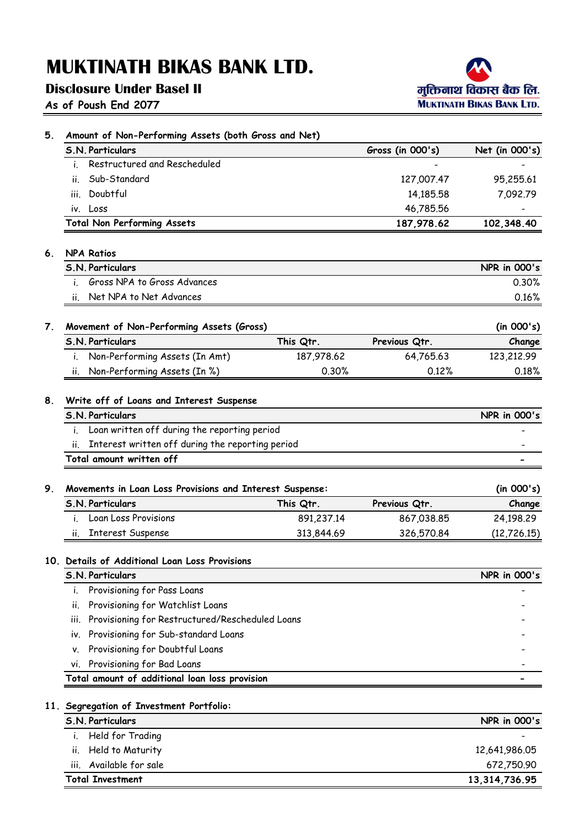## **Disclosure Under Basel II**

**As of Poush End 2077**



| Amount of Non-Performing Assets (both Gross and Net) |                                                          |            |                  |                                     |
|------------------------------------------------------|----------------------------------------------------------|------------|------------------|-------------------------------------|
|                                                      | <b>S.N. Particulars</b>                                  |            | Gross (in 000's) | Net (in 000's)                      |
| $\mathbf{L}$                                         | Restructured and Rescheduled                             |            |                  |                                     |
| ii.                                                  | Sub-Standard                                             |            | 127,007.47       | 95,255.61                           |
| Ш.                                                   | Doubtful                                                 |            | 14,185.58        | 7,092.79                            |
|                                                      | iv. Loss                                                 |            | 46,785.56        |                                     |
|                                                      | <b>Total Non Performing Assets</b>                       |            | 187,978.62       | 102,348.40                          |
| 6.                                                   | <b>NPA Ratios</b>                                        |            |                  |                                     |
|                                                      | S.N. Particulars                                         |            |                  | <b>NPR</b> in 000's                 |
|                                                      | Gross NPA to Gross Advances                              |            |                  | 0.30%                               |
| П.                                                   | Net NPA to Net Advances                                  |            |                  | 0.16%                               |
| 7.                                                   | Movement of Non-Performing Assets (Gross)                |            |                  | (in 000's)                          |
|                                                      | S.N. Particulars                                         | This Qtr.  | Previous Qtr.    | Change                              |
| i.                                                   | Non-Performing Assets (In Amt)                           | 187,978.62 | 64,765.63        | 123,212.99                          |
| н.                                                   | Non-Performing Assets (In %)                             | 0.30%      | 0.12%            | 0.18%                               |
| 8.                                                   | Write off of Loans and Interest Suspense                 |            |                  |                                     |
|                                                      | S.N. Particulars                                         |            |                  | <b>NPR</b> in 000's                 |
|                                                      | i. Loan written off during the reporting period          |            |                  |                                     |
| ii.                                                  | Interest written off during the reporting period         |            |                  |                                     |
|                                                      | Total amount written off                                 |            |                  |                                     |
|                                                      |                                                          |            |                  |                                     |
| 9.                                                   |                                                          |            |                  |                                     |
|                                                      | Movements in Loan Loss Provisions and Interest Suspense: |            |                  | (in 000's)                          |
|                                                      | S.N. Particulars                                         | This Qtr.  | Previous Qtr.    | Change                              |
|                                                      | Loan Loss Provisions                                     | 891,237.14 | 867,038.85       | 24,198.29                           |
| ii.                                                  | <b>Interest Suspense</b>                                 | 313,844.69 | 326,570.84       |                                     |
|                                                      | 10. Details of Additional Loan Loss Provisions           |            |                  |                                     |
|                                                      | <b>S.N. Particulars</b>                                  |            |                  |                                     |
| i.                                                   | Provisioning for Pass Loans                              |            |                  |                                     |
| ii.                                                  | Provisioning for Watchlist Loans                         |            |                  |                                     |
| Ш.                                                   | Provisioning for Restructured/Rescheduled Loans          |            |                  |                                     |
| i۷.                                                  | Provisioning for Sub-standard Loans                      |            |                  |                                     |
| ٧.                                                   | Provisioning for Doubtful Loans                          |            |                  |                                     |
| vi.                                                  | Provisioning for Bad Loans                               |            |                  |                                     |
|                                                      | Total amount of additional loan loss provision           |            |                  |                                     |
|                                                      | 11. Segregation of Investment Portfolio:                 |            |                  | (12, 726.15)<br><b>NPR</b> in 000's |
|                                                      | S.N. Particulars                                         |            |                  | <b>NPR</b> in 000's                 |
| $\mathbf{I}$ .<br>н.                                 | Held for Trading<br>Held to Maturity                     |            |                  | 12,641,986.05                       |

iii. Available for sale 672,750.90

**Total Investment**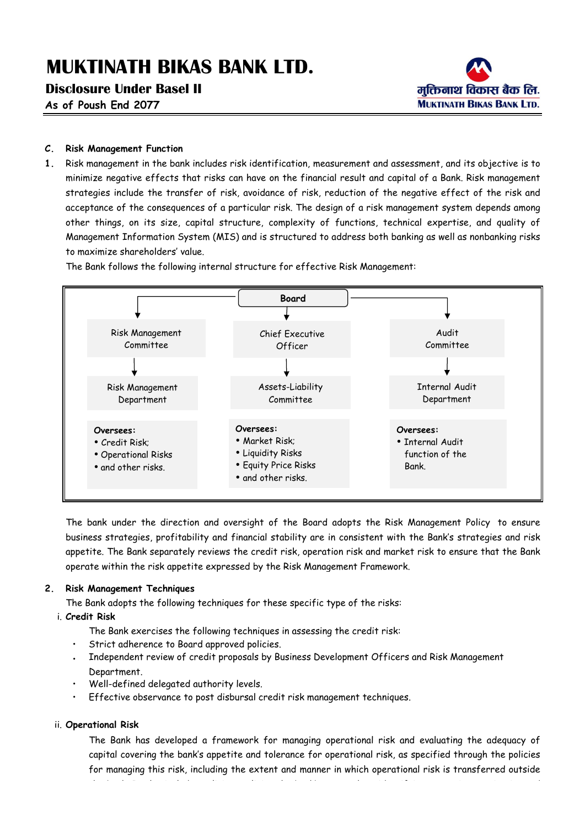### **Disclosure Under Basel II**

**As of Poush End 2077**



### **C. Risk Management Function**

**1.** Risk management in the bank includes risk identification, measurement and assessment, and its objective is to minimize negative effects that risks can have on the financial result and capital of a Bank. Risk management strategies include the transfer of risk, avoidance of risk, reduction of the negative effect of the risk and acceptance of the consequences of a particular risk. The design of a risk management system depends among other things, on its size, capital structure, complexity of functions, technical expertise, and quality of Management Information System (MIS) and is structured to address both banking as well as nonbanking risks to maximize shareholders' value.

The Bank follows the following internal structure for effective Risk Management:



The bank under the direction and oversight of the Board adopts the Risk Management Policy to ensure business strategies, profitability and financial stability are in consistent with the Bank's strategies and risk appetite. The Bank separately reviews the credit risk, operation risk and market risk to ensure that the Bank operate within the risk appetite expressed by the Risk Management Framework.

### **2. Risk Management Techniques**

The Bank adopts the following techniques for these specific type of the risks:

### i. **Credit Risk**

- The Bank exercises the following techniques in assessing the credit risk:
- Strict adherence to Board approved policies.
- Independent review of credit proposals by Business Development Officers and Risk Management Department.
- Well-defined delegated authority levels.
- Effective observance to post disbursal credit risk management techniques.

### ii. **Operational Risk**

The Bank has developed a framework for managing operational risk and evaluating the adequacy of capital covering the bank's appetite and tolerance for operational risk, as specified through the policies for managing this risk, including the extent and manner in which operational risk is transferred outside the bank. It also includes policies outlining the bank's approach to identifying, assessing, monitoring and